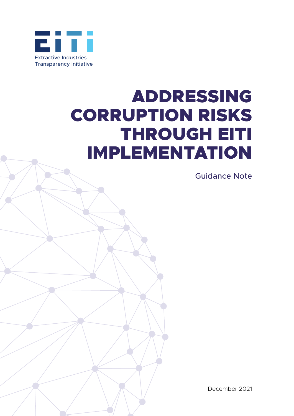

# ADDRESSING CORRUPTION RISKS THROUGH EITI IMPLEMENTATION

Guidance Note

December 2021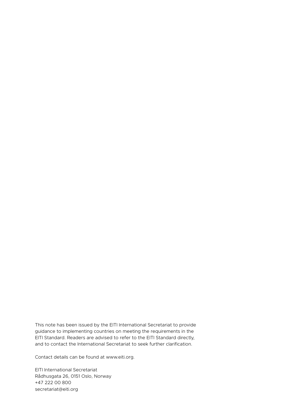This note has been issued by the EITI International Secretariat to provide guidance to implementing countries on meeting the requirements in the EITI Standard. Readers are advised to refer to the EITI Standard directly, and to contact the International Secretariat to seek further clarification.

Contact details can be found at [www.eiti.org](http://www.eiti.org).

EITI International Secretariat Rådhusgata 26, 0151 Oslo, Norway +47 222 00 800 secretariat@eiti.org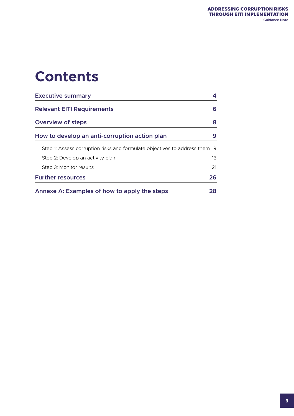# **Contents**

| <b>Executive summary</b>                                                   | 4               |
|----------------------------------------------------------------------------|-----------------|
| <b>Relevant EITI Requirements</b>                                          | 6               |
| <b>Overview of steps</b>                                                   | 8               |
| How to develop an anti-corruption action plan                              | 9               |
| Step 1: Assess corruption risks and formulate objectives to address them 9 |                 |
| Step 2: Develop an activity plan                                           | 13 <sup>°</sup> |
| Step 3: Monitor results                                                    | 21              |
| <b>Further resources</b>                                                   | 26              |
| Annexe A: Examples of how to apply the steps                               | 28              |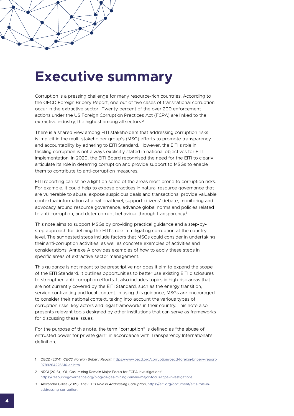## <span id="page-3-0"></span>**Executive summary**

Corruption is a pressing challenge for many resource-rich countries. According to the OECD Foreign Bribery Report, one out of five cases of transnational corruption occur in the extractive sector.<sup>1</sup> Twenty percent of the over 200 enforcement actions under the US Foreign Corruption Practices Act (FCPA) are linked to the extractive industry, the highest among all sectors.<sup>2</sup>

There is a shared view among EITI stakeholders that addressing corruption risks is implicit in the multi-stakeholder group's (MSG) efforts to promote transparency and accountability by adhering to EITI Standard. However, the EITI's role in tackling corruption is not always explicitly stated in national objectives for EITI implementation. In 2020, the EITI Board recognised the need for the EITI to clearly articulate its role in deterring corruption and provide support to MSGs to enable them to contribute to anti-corruption measures.

EITI reporting can shine a light on some of the areas most prone to corruption risks. For example, it could help to expose practices in natural resource governance that are vulnerable to abuse, expose suspicious deals and transactions, provide valuable contextual information at a national level, support citizens' debate, monitoring and advocacy around resource governance, advance global norms and policies related to anti-corruption, and deter corrupt behaviour through transparency.<sup>3</sup>

This note aims to support MSGs by providing practical guidance and a step-bystep approach for defining the EITI's role in mitigating corruption at the country level. The suggested steps include factors that MSGs could consider in undertaking their anti-corruption activities, as well as concrete examples of activities and considerations. Annexe A provides examples of how to apply these steps in specific areas of extractive sector management.

This guidance is not meant to be prescriptive nor does it aim to expand the scope of the EITI Standard. It outlines opportunities to better use existing EITI disclosures to strengthen anti-corruption efforts. It also includes topics in high-risk areas that are not currently covered by the EITI Standard, such as the energy transition, service contracting and local content. In using this guidance, MSGs are encouraged to consider their national context, taking into account the various types of corruption risks, key actors and legal frameworks in their country. This note also presents relevant tools designed by other institutions that can serve as frameworks for discussing these issues.

For the purpose of this note, the term "corruption" is defined as "the abuse of entrusted power for private gain" in accordance with Transparency International's definition.

<sup>1</sup> OECD (2014), *OECD Foreign Bribery Report*, [https://www.oecd.org/corruption/oecd-foreign-bribery-report-](https://www.oecd.org/corruption/oecd-foreign-bribery-report-9789264226616-en.htm)[9789264226616-en.htm](https://www.oecd.org/corruption/oecd-foreign-bribery-report-9789264226616-en.htm).

<sup>2</sup> NRGI (2016), "Oil, Gas, Mining Remain Major Focus for FCPA Investigations", <https://resourcegovernance.org/blog/oil-gas-mining-remain-major-focus-fcpa-investigations>.

<sup>3</sup> Alexandra Gillies (2019), *The EITI's Role in Addressing Corruption*, [https://eiti.org/document/eitis-role-in](https://eiti.org/document/eitis-role-in-addressing-corruption)[addressing-corruption](https://eiti.org/document/eitis-role-in-addressing-corruption).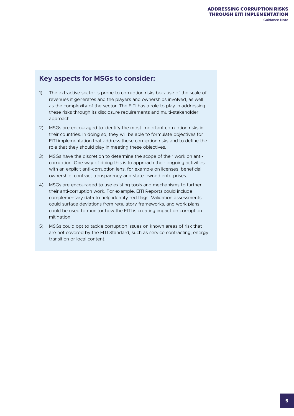## **Key aspects for MSGs to consider:**

- 1) The extractive sector is prone to corruption risks because of the scale of revenues it generates and the players and ownerships involved, as well as the complexity of the sector. The EITI has a role to play in addressing these risks through its disclosure requirements and multi-stakeholder approach.
- 2) MSGs are encouraged to identify the most important corruption risks in their countries. In doing so, they will be able to formulate objectives for EITI implementation that address these corruption risks and to define the role that they should play in meeting these objectives.
- 3) MSGs have the discretion to determine the scope of their work on anticorruption. One way of doing this is to approach their ongoing activities with an explicit anti-corruption lens, for example on licenses, beneficial ownership, contract transparency and state-owned enterprises.
- 4) MSGs are encouraged to use existing tools and mechanisms to further their anti-corruption work. For example, EITI Reports could include complementary data to help identify red flags, Validation assessments could surface deviations from regulatory frameworks, and work plans could be used to monitor how the EITI is creating impact on corruption mitigation.
- 5) MSGs could opt to tackle corruption issues on known areas of risk that are not covered by the EITI Standard, such as service contracting, energy transition or local content.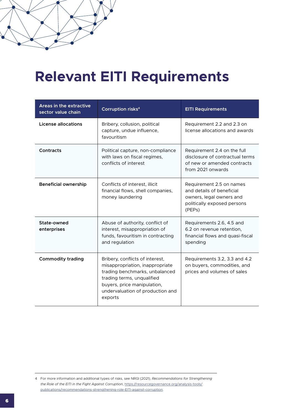# <span id="page-5-0"></span>**Relevant EITI Requirements**

| Areas in the extractive<br>sector value chain | <b>Corruption risks<sup>4</sup></b>                                                                                                                                                                              | <b>EITI Requirements</b>                                                                                                                |
|-----------------------------------------------|------------------------------------------------------------------------------------------------------------------------------------------------------------------------------------------------------------------|-----------------------------------------------------------------------------------------------------------------------------------------|
| License allocations                           | Bribery, collusion, political<br>capture, undue influence,<br>favouritism                                                                                                                                        | Requirement 2.2 and 2.3 on<br>license allocations and awards                                                                            |
| Contracts                                     | Political capture, non-compliance<br>with laws on fiscal regimes,<br>conflicts of interest                                                                                                                       | Requirement 2.4 on the full<br>disclosure of contractual terms<br>of new or amended contracts<br>from 2021 onwards                      |
| <b>Beneficial ownership</b>                   | Conflicts of interest, illicit<br>financial flows, shell companies,<br>money laundering                                                                                                                          | Requirement 2.5 on names<br>and details of beneficial<br>owners, legal owners and<br>politically exposed persons<br>(PEP <sub>s</sub> ) |
| State-owned<br>enterprises                    | Abuse of authority, conflict of<br>interest, misappropriation of<br>funds, favouritism in contracting<br>and regulation                                                                                          | Requirements 2.6, 4.5 and<br>6.2 on revenue retention.<br>financial flows and quasi-fiscal<br>spending                                  |
| <b>Commodity trading</b>                      | Bribery, conflicts of interest,<br>misappropriation, inappropriate<br>trading benchmarks, unbalanced<br>trading terms, unqualified<br>buyers, price manipulation,<br>undervaluation of production and<br>exports | Requirements 3.2, 3.3 and 4.2<br>on buyers, commodities, and<br>prices and volumes of sales                                             |

<sup>4</sup> For more information and additional types of risks, see NRGI (2021), *Recommendations for Strengthening the Role of the EITI in the Fight Against Corruption*, [https://resourcegovernance.org/analysis-tools/](https://resourcegovernance.org/analysis-tools/publications/recommendations-strengthening-role-EITI-against-corruption) [publications/recommendations-strengthening-role-EITI-against-corruption](https://resourcegovernance.org/analysis-tools/publications/recommendations-strengthening-role-EITI-against-corruption).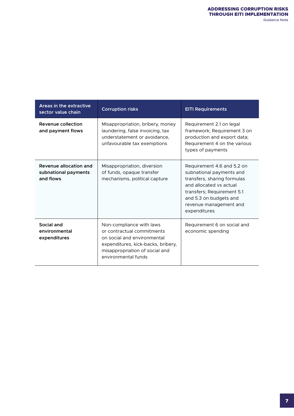| Areas in the extractive<br>sector value chain               | <b>Corruption risks</b>                                                                                                                                                              | <b>EITI Requirements</b>                                                                                                                                                                                           |
|-------------------------------------------------------------|--------------------------------------------------------------------------------------------------------------------------------------------------------------------------------------|--------------------------------------------------------------------------------------------------------------------------------------------------------------------------------------------------------------------|
| Revenue collection<br>and payment flows                     | Misappropriation, bribery, money<br>laundering, false invoicing, tax<br>understatement or avoidance,<br>unfavourable tax exemptions                                                  | Requirement 2.1 on legal<br>framework; Requirement 3 on<br>production and export data;<br>Requirement 4 on the various<br>types of payments                                                                        |
| Revenue allocation and<br>subnational payments<br>and flows | Misappropriation, diversion<br>of funds, opaque transfer<br>mechanisms, political capture                                                                                            | Requirement 4.6 and 5.2 on<br>subnational payments and<br>transfers, sharing formulas<br>and allocated vs actual<br>transfers; Requirement 5.1<br>and 5.3 on budgets and<br>revenue management and<br>expenditures |
| Social and<br>environmental<br>expenditures                 | Non-compliance with laws<br>or contractual commitments<br>on social and environmental<br>expenditures, kick-backs, bribery,<br>misappropriation of social and<br>environmental funds | Requirement 6 on social and<br>economic spending                                                                                                                                                                   |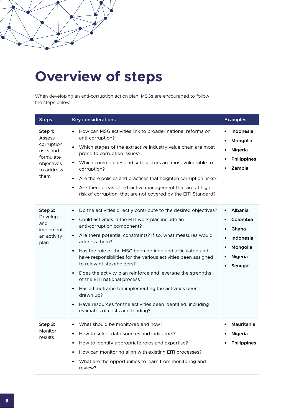# <span id="page-7-0"></span>**Overview of steps**

When developing an anti-corruption action plan, MSGs are encouraged to follow the steps below.

| <b>Steps</b>                                                                                  | <b>Key considerations</b>                                                                                                                                                                                                                                                                                                                                                                                                                                                                                                                                                                                                                                                                                                                                         | <b>Examples</b>                                                                                                                        |
|-----------------------------------------------------------------------------------------------|-------------------------------------------------------------------------------------------------------------------------------------------------------------------------------------------------------------------------------------------------------------------------------------------------------------------------------------------------------------------------------------------------------------------------------------------------------------------------------------------------------------------------------------------------------------------------------------------------------------------------------------------------------------------------------------------------------------------------------------------------------------------|----------------------------------------------------------------------------------------------------------------------------------------|
| Step 1:<br>Assess<br>corruption<br>risks and<br>formulate<br>objectives<br>to address<br>them | How can MSG activities link to broader national reforms on<br>$\bullet$<br>anti-corruption?<br>Which stages of the extractive industry value chain are most<br>$\bullet$<br>prone to corruption issues?<br>Which commodities and sub-sectors are most vulnerable to<br>$\bullet$<br>corruption?<br>Are there policies and practices that heighten corruption risks?<br>$\bullet$<br>Are there areas of extractive management that are at high<br>$\bullet$<br>risk of corruption, that are not covered by the EITI Standard?                                                                                                                                                                                                                                      | Indonesia<br>$\bullet$<br>Mongolia<br>Nigeria<br>$\bullet$<br><b>Philippines</b><br>Zambia                                             |
| Step 2:<br>Develop<br>and<br>implement<br>an activity<br>plan                                 | Do the activities directly contribute to the desired objectives?<br>$\bullet$<br>Could activities in the EITI work plan include an<br>$\bullet$<br>anti-corruption component?<br>Are there potential constraints? If so, what measures would<br>$\bullet$<br>address them?<br>Has the role of the MSG been defined and articulated and<br>$\bullet$<br>have responsibilities for the various activities been assigned<br>to relevant stakeholders?<br>Does the activity plan reinforce and leverage the strengths<br>$\bullet$<br>of the EITI national process?<br>Has a timeframe for implementing the activities been<br>$\bullet$<br>drawn up?<br>Have resources for the activities been identified, including<br>$\bullet$<br>estimates of costs and funding? | Albania<br>$\bullet$<br>Colombia<br>$\bullet$<br>Ghana<br>Indonesia<br>$\bullet$<br>Mongolia<br>$\bullet$<br><b>Nigeria</b><br>Senegal |
| Step 3:<br>Monitor<br>results                                                                 | What should be monitored and how?<br>$\bullet$<br>How to select data sources and indicators?<br>$\bullet$<br>How to identify appropriate roles and expertise?<br>$\bullet$<br>How can monitoring align with existing EITI processes?<br>$\bullet$<br>What are the opportunities to learn from monitoring and<br>$\bullet$<br>review?                                                                                                                                                                                                                                                                                                                                                                                                                              | Mauritania<br>$\bullet$<br>Nigeria<br><b>Philippines</b>                                                                               |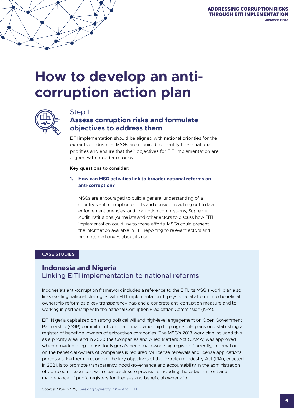## <span id="page-8-0"></span>**How to develop an anticorruption action plan**



### Step 1

## **Assess corruption risks and formulate objectives to address them**

EITI implementation should be aligned with national priorities for the extractive industries. MSGs are required to identify these national priorities and ensure that their objectives for EITI implementation are aligned with broader reforms.

#### **Key questions to consider:**

#### **1. How can MSG activities link to broader national reforms on anti-corruption?**

MSGs are encouraged to build a general understanding of a country's anti-corruption efforts and consider reaching out to law enforcement agencies, anti-corruption commissions, Supreme Audit Institutions, journalists and other actors to discuss how EITI implementation could link to these efforts. MSGs could present the information available in EITI reporting to relevant actors and promote exchanges about its use.

#### **CASE STUDIES**

## **Indonesia and Nigeria** Linking EITI implementation to national reforms

Indonesia's anti-corruption framework includes a reference to the EITI. Its MSG's work plan also links existing national strategies with EITI implementation. It pays special attention to beneficial ownership reform as a key transparency gap and a concrete anti-corruption measure and to working in partnership with the national Corruption Eradication Commission (KPK).

EITI Nigeria capitalised on strong political will and high-level engagement on Open Government Partnership (OGP) commitments on beneficial ownership to progress its plans on establishing a register of beneficial owners of extractives companies. The MSG's 2018 work plan included this as a priority area, and in 2020 the Companies and Allied Matters Act (CAMA) was approved which provided a legal basis for Nigeria's beneficial ownership register. Currently, information on the beneficial owners of companies is required for license renewals and license applications processes. Furthermore, one of the key objectives of the Petroleum Industry Act (PIA), enacted in 2021, is to promote transparency, good governance and accountability in the administration of petroleum resources, with clear disclosure provisions including the establishment and maintenance of public registers for licenses and beneficial ownership.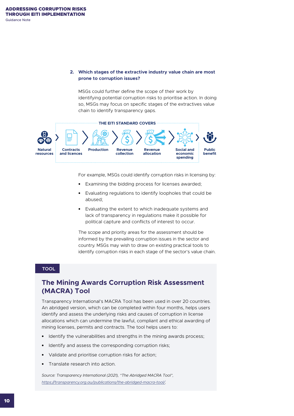#### **2. Which stages of the extractive industry value chain are most prone to corruption issues?**

MSGs could further define the scope of their work by identifying potential corruption risks to prioritise action. In doing so, MSGs may focus on specific stages of the extractives value chain to identify transparency gaps.



For example, MSGs could identify corruption risks in licensing by:

- **•** Examining the bidding process for licenses awarded;
- **•** Evaluating regulations to identify loopholes that could be abused;
- **•** Evaluating the extent to which inadequate systems and lack of transparency in regulations make it possible for political capture and conflicts of interest to occur.

The scope and priority areas for the assessment should be informed by the prevailing corruption issues in the sector and country. MSGs may wish to draw on existing practical tools to identify corruption risks in each stage of the sector's value chain.

#### **TOOL**

## **The Mining Awards Corruption Risk Assessment (MACRA) Tool**

Transparency International's MACRA Tool has been used in over 20 countries. An abridged version, which can be completed within four months, helps users identify and assess the underlying risks and causes of corruption in license allocations which can undermine the lawful, compliant and ethical awarding of mining licenses, permits and contracts. The tool helps users to:

- **•** Identify the vulnerabilities and strengths in the mining awards process;
- **•** Identify and assess the corresponding corruption risks;
- **•** Validate and prioritise corruption risks for action;
- **•** Translate research into action.

*Source: Transparency International (2021), "The Abridged MACRA Tool", <https://transparency.org.au/publications/the-abridged-macra-tool/>.*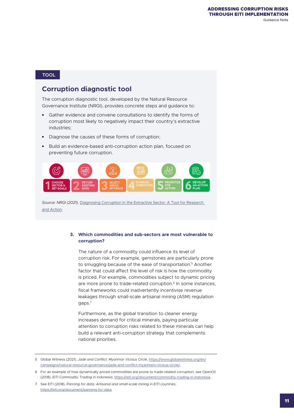#### **TOOL**

## **Corruption diagnostic tool**

The corruption diagnostic tool, developed by the Natural Resource Governance Institute (NRGI), provides concrete steps and guidance to:

- **•** Gather evidence and convene consultations to identify the forms of corruption most likely to negatively impact their country's extractive industries;
- **•** Diagnose the causes of these forms of corruption;
- **•** Build an evidence-based anti-corruption action plan, focused on preventing future corruption.



*Source: NRGI (2021),* [Diagnosing Corruption in the Extractive Sector: A Tool for Research](https://resourcegovernance.org/analysis-tools/publications/diagnosing-corruption-extractive-sector-tool-research-and-action)  [and Action](https://resourcegovernance.org/analysis-tools/publications/diagnosing-corruption-extractive-sector-tool-research-and-action)*.*

#### **3. Which commodities and sub-sectors are most vulnerable to corruption?**

The nature of a commodity could influence its level of corruption risk. For example, gemstones are particularly prone to smuggling because of the ease of transportation.<sup>5</sup> Another factor that could affect the level of risk is how the commodity is priced. For example, commodities subject to dynamic pricing are more prone to trade-related corruption.<sup>6</sup> In some instances, fiscal frameworks could inadvertently incentivise revenue leakages through small-scale artisanal mining (ASM) regulation gaps.7

Furthermore, as the global transition to cleaner energy increases demand for critical minerals, paying particular attention to corruption risks related to these minerals can help build a relevant anti-corruption strategy that complements national priorities.

5 Global Witness (2021), *Jade and Conflict: Myanmar Vicious Circle*, [https://www.globalwitness.org/en/](https://www.globalwitness.org/en/campaigns/natural-resource-governance/jade-and-conflict-myanmars-vicious-circle/) [campaigns/natural-resource-governance/jade-and-conflict-myanmars-vicious-circle/](https://www.globalwitness.org/en/campaigns/natural-resource-governance/jade-and-conflict-myanmars-vicious-circle/).

6 For an example of how dynamically priced commodities are prone to trade-related corruption, see OpenOil (2018), *EITI Commodity Trading in Indonesia*, <https://eiti.org/document/commodity-trading-in-indonesia>.

<sup>7</sup> See EITI (2018), *Panning for data: Artisanal and small-scale mining in EITI countries*, <https://eiti.org/document/panning-for-data>.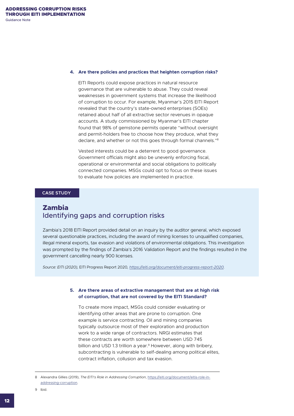#### **4. Are there policies and practices that heighten corruption risks?**

EITI Reports could expose practices in natural resource governance that are vulnerable to abuse. They could reveal weaknesses in government systems that increase the likelihood of corruption to occur. For example, Myanmar's 2015 EITI Report revealed that the country's state-owned enterprises (SOEs) retained about half of all extractive sector revenues in opaque accounts. A study commissioned by Myanmar's EITI chapter found that 98% of gemstone permits operate "without oversight and permit-holders free to choose how they produce, what they declare, and whether or not this goes through formal channels."8

Vested interests could be a deterrent to good governance. Government officials might also be unevenly enforcing fiscal, operational or environmental and social obligations to politically connected companies. MSGs could opt to focus on these issues to evaluate how policies are implemented in practice.

#### **CASE STUDY**

## **Zambia** Identifying gaps and corruption risks

Zambia's 2018 EITI Report provided detail on an inquiry by the auditor general, which exposed several questionable practices, including the award of mining licenses to unqualified companies, illegal mineral exports, tax evasion and violations of environmental obligations. This investigation was prompted by the findings of Zambia's 2016 Validation Report and the findings resulted in the government cancelling nearly 900 licenses.

*Source: EITI (2020),* EITI Progress Report 2020*, <https://eiti.org/document/eiti-progress-report-2020>.*

#### **5. Are there areas of extractive management that are at high risk of corruption, that are not covered by the EITI Standard?**

To create more impact, MSGs could consider evaluating or identifying other areas that are prone to corruption. One example is service contracting. Oil and mining companies typically outsource most of their exploration and production work to a wide range of contractors. NRGI estimates that these contracts are worth somewhere between USD 745 billion and USD 1.3 trillion a year.<sup>9</sup> However, along with bribery, subcontracting is vulnerable to self-dealing among political elites, contract inflation, collusion and tax evasion.

8 Alexandra Gillies (2019), *The EITI's Role in Addressing Corruption*, [https://eiti.org/document/eitis-role-in](https://eiti.org/document/eitis-role-in-addressing-corruption)[addressing-corruption](https://eiti.org/document/eitis-role-in-addressing-corruption).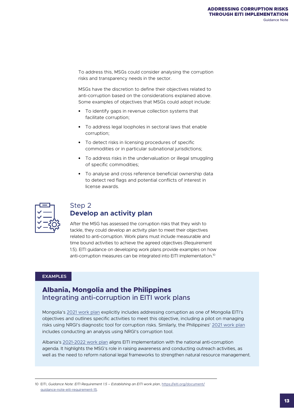<span id="page-12-0"></span>To address this, MSGs could consider analysing the corruption risks and transparency needs in the sector.

MSGs have the discretion to define their objectives related to anti-corruption based on the considerations explained above. Some examples of objectives that MSGs could adopt include:

- **•** To identify gaps in revenue collection systems that facilitate corruption;
- **•** To address legal loopholes in sectoral laws that enable corruption;
- **•** To detect risks in licensing procedures of specific commodities or in particular subnational jurisdictions;
- **•** To address risks in the undervaluation or illegal smuggling of specific commodities;
- **•** To analyse and cross reference beneficial ownership data to detect red flags and potential conflicts of interest in license awards.

| ÷ |
|---|
|   |

## Step 2 **Develop an activity plan**

After the MSG has assessed the corruption risks that they wish to tackle, they could develop an activity plan to meet their objectives related to anti-corruption. Work plans must include measurable and time bound activities to achieve the agreed objectives (Requirement 1.5). EITI guidance on developing work plans provide examples on how anti-corruption measures can be integrated into EITI implementation.10

#### **EXAMPLES**

## **Albania, Mongolia and the Philippines** Integrating anti-corruption in EITI work plans

Mongolia's [2021 work plan](https://eiti.org/document/mongolia-2020-2021-eiti-work-plan) explicitly includes addressing corruption as one of Mongolia EITI's objectives and outlines specific activities to meet this objective, including a pilot on managing risks using NRGI's diagnostic tool for corruption risks. Similarly, the Philippines' [2021 work plan](https://pheiti.dof.gov.ph/work-plan) includes conducting an analysis using NRGI's corruption tool.

Albania's [2021-2022 work plan](https://eiti.org/files/documents/2021-2022_work_plan_22.02.2021.pdf) aligns EITI implementation with the national anti-corruption agenda. It highlights the MSG's role in raising awareness and conducting outreach activities, as well as the need to reform national legal frameworks to strengthen natural resource management.

10 EITI, *Guidance Note: EITI Requirement 1.5 – Establishing an EITI work plan*, [https://eiti.org/document/](https://eiti.org/document/guidance-note-eiti-requirement-15) [guidance-note-eiti-requirement-15](https://eiti.org/document/guidance-note-eiti-requirement-15).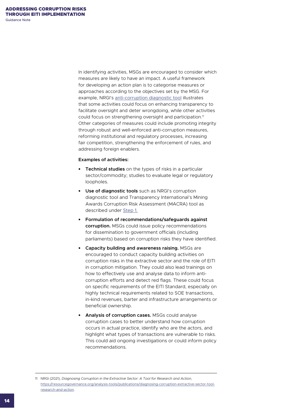In identifying activities, MSGs are encouraged to consider which measures are likely to have an impact. A useful framework for developing an action plan is to categorise measures or approaches according to the objectives set by the MSG. For example, NRGI's [anti-corruption diagnostic tool](https://resourcegovernance.org/analysis-tools/publications/diagnosing-corruption-extractive-sector-tool-research-and-action) illustrates that some activities could focus on enhancing transparency to facilitate oversight and deter wrongdoing, while other activities could focus on strengthening oversight and participation.<sup>11</sup> Other categories of measures could include promoting integrity through robust and well-enforced anti-corruption measures, reforming institutional and regulatory processes, increasing fair competition, strengthening the enforcement of rules, and addressing foreign enablers.

#### **Examples of activities:**

- **• Technical studies** on the types of risks in a particular sector/commodity; studies to evaluate legal or regulatory loopholes.
- **• Use of diagnostic tools** such as NRGI's corruption diagnostic tool and Transparency International's Mining Awards Corruption Risk Assessment (MACRA) tool as described under [Step 1.](#page-8-0)
- **• Formulation of recommendations/safeguards against corruption.** MSGs could issue policy recommendations for dissemination to government officials (including parliaments) based on corruption risks they have identified.
- **• Capacity building and awareness raising.** MSGs are encouraged to conduct capacity building activities on corruption risks in the extractive sector and the role of EITI in corruption mitigation. They could also lead trainings on how to effectively use and analyse data to inform anticorruption efforts and detect red flags. These could focus on specific requirements of the EITI Standard, especially on highly technical requirements related to SOE transactions, in-kind revenues, barter and infrastructure arrangements or beneficial ownership.
- **• Analysis of corruption cases.** MSGs could analyse corruption cases to better understand how corruption occurs in actual practice, identify who are the actors, and highlight what types of transactions are vulnerable to risks. This could aid ongoing investigations or could inform policy recommendations.

<sup>11</sup> NRGI (2021), *Diagnosing Corruption in the Extractive Sector: A Tool for Research and Action*, [https://resourcegovernance.org/analysis-tools/publications/diagnosing-corruption-extractive-sector-tool](https://resourcegovernance.org/analysis-tools/publications/diagnosing-corruption-extractive-sector-tool-research-and-action)[research-and-action](https://resourcegovernance.org/analysis-tools/publications/diagnosing-corruption-extractive-sector-tool-research-and-action).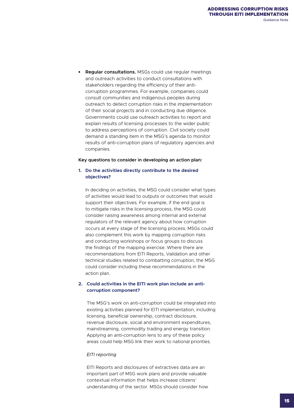**• Regular consultations.** MSGs could use regular meetings and outreach activities to conduct consultations with stakeholders regarding the efficiency of their anticorruption programmes. For example, companies could consult communities and indigenous peoples during outreach to detect corruption risks in the implementation of their social projects and in conducting due diligence. Governments could use outreach activities to report and explain results of licensing processes to the wider public to address perceptions of corruption. Civil society could demand a standing item in the MSG's agenda to monitor results of anti-corruption plans of regulatory agencies and companies.

#### **Key questions to consider in developing an action plan:**

#### **1. Do the activities directly contribute to the desired objectives?**

In deciding on activities, the MSG could consider what types of activities would lead to outputs or outcomes that would support their objectives. For example, if the end goal is to mitigate risks in the licensing process, the MSG could consider raising awareness among internal and external regulators of the relevant agency about how corruption occurs at every stage of the licensing process. MSGs could also complement this work by mapping corruption risks and conducting workshops or focus groups to discuss the findings of the mapping exercise. Where there are recommendations from EITI Reports, Validation and other technical studies related to combatting corruption, the MSG could consider including these recommendations in the action plan.

#### **2. Could activities in the EITI work plan include an anticorruption component?**

The MSG's work on anti-corruption could be integrated into existing activities planned for EITI implementation, including licensing, beneficial ownership, contract disclosure, revenue disclosure, social and environment expenditures, mainstreaming, commodity trading and energy transition. Applying an anti-corruption lens to any of these policy areas could help MSG link their work to national priorities.

#### *EITI reporting*

EITI Reports and disclosures of extractives data are an important part of MSG work plans and provide valuable contextual information that helps increase citizens' understanding of the sector. MSGs should consider how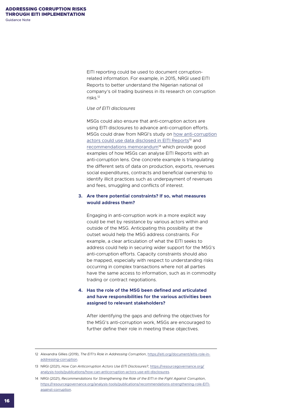EITI reporting could be used to document corruptionrelated information. For example, in 2015, NRGI used EITI Reports to better understand the Nigerian national oil company's oil trading business in its research on corruption risks<sup>12</sup>

#### *Use of EITI disclosures*

MSGs could also ensure that anti-corruption actors are using EITI disclosures to advance anti-corruption efforts. MSGs could draw from NRGI's study on [how anti-corruption](https://resourcegovernance.org/analysis-tools/publications/how-can-anticorruption-actors-use-eiti-disclosures) [actors could use data disclosed in EITI Reports](https://resourcegovernance.org/analysis-tools/publications/how-can-anticorruption-actors-use-eiti-disclosures)<sup>13</sup> and [recommendations memorandum](https://resourcegovernance.org/analysis-tools/publications/recommendations-strengthening-role-EITI-against-corruption)<sup>14</sup> which provide good examples of how MSGs can analyse EITI Reports with an anti-corruption lens. One concrete example is triangulating the different sets of data on production, exports, revenues social expenditures, contracts and beneficial ownership to identify illicit practices such as underpayment of revenues and fees, smuggling and conflicts of interest.

#### **3. Are there potential constraints? If so, what measures would address them?**

Engaging in anti-corruption work in a more explicit way could be met by resistance by various actors within and outside of the MSG. Anticipating this possibility at the outset would help the MSG address constraints. For example, a clear articulation of what the EITI seeks to address could help in securing wider support for the MSG's anti-corruption efforts. Capacity constraints should also be mapped, especially with respect to understanding risks occurring in complex transactions where not all parties have the same access to information, such as in commodity trading or contract negotiations.

#### **4. Has the role of the MSG been defined and articulated and have responsibilities for the various activities been assigned to relevant stakeholders?**

After identifying the gaps and defining the objectives for the MSG's anti-corruption work, MSGs are encouraged to further define their role in meeting these objectives.

<sup>12</sup> Alexandra Gillies (2019), *The EITI's Role in Addressing Corruption*, [https://eiti.org/document/eitis-role-in](https://eiti.org/document/eitis-role-in-addressing-corruption)[addressing-corruption](https://eiti.org/document/eitis-role-in-addressing-corruption).

<sup>13</sup> NRGI (2021), *How Can Anticorruption Actors Use EITI Disclosures?*, [https://resourcegovernance.org/](https://resourcegovernance.org/analysis-tools/publications/how-can-anticorruption-actors-use-eiti-disclosures) [analysis-tools/publications/how-can-anticorruption-actors-use-eiti-disclosures](https://resourcegovernance.org/analysis-tools/publications/how-can-anticorruption-actors-use-eiti-disclosures).

<sup>14</sup> NRGI (2021), *Recommendations for Strengthening the Role of the EITI in the Fight Against Corruption*, [https://resourcegovernance.org/analysis-tools/publications/recommendations-strengthening-role-EITI](https://resourcegovernance.org/analysis-tools/publications/recommendations-strengthening-role-EITI-against-corruption)[against-corruption](https://resourcegovernance.org/analysis-tools/publications/recommendations-strengthening-role-EITI-against-corruption).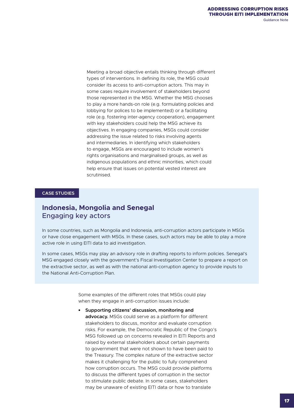Meeting a broad objective entails thinking through different types of interventions. In defining its role, the MSG could consider its access to anti-corruption actors. This may in some cases require involvement of stakeholders beyond those represented in the MSG. Whether the MSG chooses to play a more hands-on role (e.g. formulating policies and lobbying for polices to be implemented) or a facilitating role (e.g. fostering inter-agency cooperation), engagement with key stakeholders could help the MSG achieve its objectives. In engaging companies, MSGs could consider addressing the issue related to risks involving agents and intermediaries. In identifying which stakeholders to engage, MSGs are encouraged to include women's rights organisations and marginalised groups, as well as indigenous populations and ethnic minorities, which could help ensure that issues on potential vested interest are scrutinised.

#### **CASE STUDIES**

## **Indonesia, Mongolia and Senegal**  Engaging key actors

In some countries, such as Mongolia and Indonesia, anti-corruption actors participate in MSGs or have close engagement with MSGs. In these cases, such actors may be able to play a more active role in using EITI data to aid investigation.

In some cases, MSGs may play an advisory role in drafting reports to inform policies. Senegal's MSG engaged closely with the government's Fiscal Investigation Center to prepare a report on the extractive sector, as well as with the national anti-corruption agency to provide inputs to the National Anti-Corruption Plan.

> Some examples of the different roles that MSGs could play when they engage in anti-corruption issues include:

**• Supporting citizens' discussion, monitoring and advocacy.** MSGs could serve as a platform for different stakeholders to discuss, monitor and evaluate corruption risks. For example, the Democratic Republic of the Congo's MSG followed up on concerns revealed in EITI Reports and raised by external stakeholders about certain payments to government that were not shown to have been paid to the Treasury. The complex nature of the extractive sector makes it challenging for the public to fully comprehend how corruption occurs. The MSG could provide platforms to discuss the different types of corruption in the sector to stimulate public debate. In some cases, stakeholders may be unaware of existing EITI data or how to translate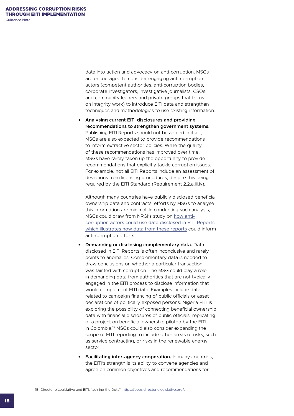data into action and advocacy on anti-corruption. MSGs are encouraged to consider engaging anti-corruption actors (competent authorities, anti-corruption bodies, corporate investigators, investigative journalists, CSOs and community leaders and private groups that focus on integrity work) to introduce EITI data and strengthen techniques and methodologies to use existing information.

**• Analysing current EITI disclosures and providing recommendations to strengthen government systems.**  Publishing EITI Reports should not be an end in itself; MSGs are also expected to provide recommendations to inform extractive sector policies. While the quality of these recommendations has improved over time, MSGs have rarely taken up the opportunity to provide recommendations that explicitly tackle corruption issues. For example, not all EITI Reports include an assessment of deviations from licensing procedures, despite this being required by the EITI Standard (Requirement 2.2.a.iii.iv).

Although many countries have publicly disclosed beneficial ownership data and contracts, efforts by MSGs to analyse this information are minimal. In conducting such analysis, MSGs could draw from NRGI's study on [how anti](https://resourcegovernance.org/analysis-tools/publications/how-can-anticorruption-actors-use-eiti-disclosures)[corruption actors could use data disclosed in EITI Reports](https://resourcegovernance.org/analysis-tools/publications/how-can-anticorruption-actors-use-eiti-disclosures)  [which illustrates how data from these reports](https://resourcegovernance.org/analysis-tools/publications/how-can-anticorruption-actors-use-eiti-disclosures) could inform anti-corruption efforts.

- **• Demanding or disclosing complementary data.** Data disclosed in EITI Reports is often inconclusive and rarely points to anomalies. Complementary data is needed to draw conclusions on whether a particular transaction was tainted with corruption. The MSG could play a role in demanding data from authorities that are not typically engaged in the EITI process to disclose information that would complement EITI data. Examples include data related to campaign financing of public officials or asset declarations of politically exposed persons. Nigeria EITI is exploring the possibility of connecting beneficial ownership data with financial disclosures of public officials, replicating of a project on beneficial ownership piloted by the EITI in Colombia.15 MSGs could also consider expanding the scope of EITI reporting to include other areas of risks, such as service contracting, or risks in the renewable energy sector.
- **• Facilitating inter-agency cooperation.** In many countries, the EITI's strength is its ability to convene agencies and agree on common objectives and recommendations for

15 Directorio Legislativo and EITI, "Joining the Dots", <https://peps.directoriolegislativo.org/>.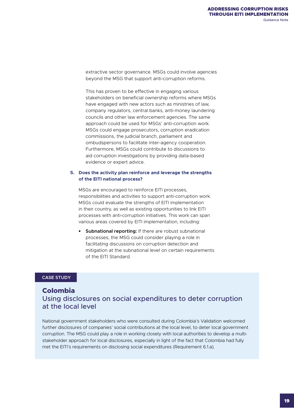extractive sector governance. MSGs could involve agencies beyond the MSG that support anti-corruption reforms.

This has proven to be effective in engaging various stakeholders on beneficial ownership reforms where MSGs have engaged with new actors such as ministries of law, company regulators, central banks, anti-money laundering councils and other law enforcement agencies. The same approach could be used for MSGs' anti-corruption work. MSGs could engage prosecutors, corruption eradication commissions, the judicial branch, parliament and ombudspersons to facilitate inter-agency cooperation. Furthermore, MSGs could contribute to discussions to aid corruption investigations by providing data-based evidence or expert advice.

#### **5. Does the activity plan reinforce and leverage the strengths of the EITI national process?**

MSGs are encouraged to reinforce EITI processes, responsibilities and activities to support anti-corruption work. MSGs could evaluate the strengths of EITI implementation in their country, as well as existing opportunities to link EITI processes with anti-corruption initiatives. This work can span various areas covered by EITI implementation, including:

**• Subnational reporting:** If there are robust subnational processes, the MSG could consider playing a role in facilitating discussions on corruption detection and mitigation at the subnational level on certain requirements of the EITI Standard.

#### **CASE STUDY**

### **Colombia**

## Using disclosures on social expenditures to deter corruption at the local level

National government stakeholders who were consulted during Colombia's Validation welcomed further disclosures of companies' social contributions at the local level, to deter local government corruption. The MSG could play a role in working closely with local authorities to develop a multistakeholder approach for local disclosures, especially in light of the fact that Colombia had fully met the EITI's requirements on disclosing social expenditures (Requirement 6.1.a).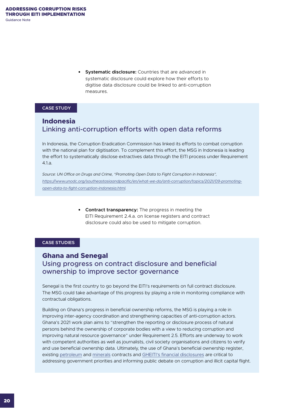**• Systematic disclosure:** Countries that are advanced in systematic disclosure could explore how their efforts to digitise data disclosure could be linked to anti-corruption measures.

#### **CASE STUDY**

## **Indonesia** Linking anti-corruption efforts with open data reforms

In Indonesia, the Corruption Eradication Commission has linked its efforts to combat corruption with the national plan for digitisation. To complement this effort, the MSG in Indonesia is leading the effort to systematically disclose extractives data through the EITI process under Requirement 4.1.a.

*Source: UN Office on Drugs and Crime, "Promoting Open Data to Fight Corruption in Indonesia", [https://www.unodc.org/southeastasiaandpacific/en/what-we-do/anti-corruption/topics/2021/09-promoting](https://www.unodc.org/southeastasiaandpacific/en/what-we-do/anti-corruption/topics/2021/09-promoting-open-data-to-fight-corruption-indonesia.html)[open-data-to-fight-corruption-indonesia.html.](https://www.unodc.org/southeastasiaandpacific/en/what-we-do/anti-corruption/topics/2021/09-promoting-open-data-to-fight-corruption-indonesia.html)* 

> **• Contract transparency:** The progress in meeting the EITI Requirement 2.4.a. on license registers and contract disclosure could also be used to mitigate corruption.

#### **CASE STUDIES**

## **Ghana and Senegal** Using progress on contract disclosure and beneficial ownership to improve sector governance

Senegal is the first country to go beyond the EITI's requirements on full contract disclosure. The MSG could take advantage of this progress by playing a role in monitoring compliance with contractual obligations.

Building on Ghana's progress in beneficial ownership reforms, the MSG is playing a role in improving inter-agency coordination and strengthening capacities of anti-corruption actors. Ghana's 2021 work plan aims to "strengthen the reporting or disclosure process of natural persons behind the ownership of corporate bodies with a view to reducing corruption and improving natural resource governance" under Requirement 2.5. Efforts are underway to work with competent authorities as well as journalists, civil society organisations and citizens to verify and use beneficial ownership data. Ultimately, the use of Ghana's beneficial ownership register, existing [petroleum](https://www.ghanapetroleumregister.com/contract-areas) and [minerals](https://www.mincom.gov.gh/list-of-mineral-rights-concessions/) contracts and [GHEITI's financial disclosures](https://www.gheiti.gov.gh/site/index.php?option=com_phocadownload&view=section&id=1:aggregation-reports&Itemid=54) are critical to addressing government priorities and informing public debate on corruption and illicit capital flight.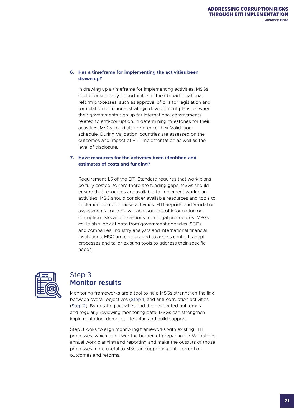#### <span id="page-20-0"></span>**6. Has a timeframe for implementing the activities been drawn up?**

In drawing up a timeframe for implementing activities, MSGs could consider key opportunities in their broader national reform processes, such as approval of bills for legislation and formulation of national strategic development plans, or when their governments sign up for international commitments related to anti-corruption. In determining milestones for their activities, MSGs could also reference their Validation schedule. During Validation, countries are assessed on the outcomes and impact of EITI implementation as well as the level of disclosure.

#### **7. Have resources for the activities been identified and estimates of costs and funding?**

Requirement 1.5 of the EITI Standard requires that work plans be fully costed. Where there are funding gaps, MSGs should ensure that resources are available to implement work plan activities. MSG should consider available resources and tools to implement some of these activities. EITI Reports and Validation assessments could be valuable sources of information on corruption risks and deviations from legal procedures. MSGs could also look at data from government agencies, SOEs and companies, industry analysts and international financial institutions. MSG are encouraged to assess context, adapt processes and tailor existing tools to address their specific needs.



## Step 3 **Monitor results**

Monitoring frameworks are a tool to help MSGs strengthen the link between overall objectives ([Step 1](#page-8-0)) and anti-corruption activities ([Step 2](#page-12-0)). By detailing activities and their expected outcomes and regularly reviewing monitoring data, MSGs can strengthen implementation, demonstrate value and build support.

Step 3 looks to align monitoring frameworks with existing EITI processes, which can lower the burden of preparing for Validations, annual work planning and reporting and make the outputs of those processes more useful to MSGs in supporting anti-corruption outcomes and reforms.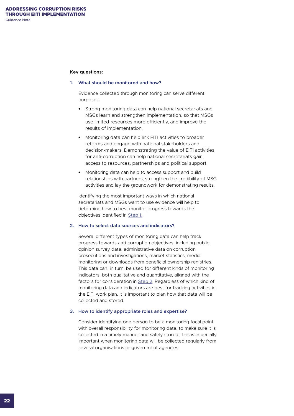#### **Key questions:**

#### **1. What should be monitored and how?**

Evidence collected through monitoring can serve different purposes:

- **•** Strong monitoring data can help national secretariats and MSGs learn and strengthen implementation, so that MSGs use limited resources more efficiently, and improve the results of implementation.
- **•** Monitoring data can help link EITI activities to broader reforms and engage with national stakeholders and decision-makers. Demonstrating the value of EITI activities for anti-corruption can help national secretariats gain access to resources, partnerships and political support.
- **•** Monitoring data can help to access support and build relationships with partners, strengthen the credibility of MSG activities and lay the groundwork for demonstrating results.

Identifying the most important ways in which national secretariats and MSGs want to use evidence will help to determine how to best monitor progress towards the objectives identified in [Step 1.](#page-8-0)

#### **2. How to select data sources and indicators?**

Several different types of monitoring data can help track progress towards anti-corruption objectives, including public opinion survey data, administrative data on corruption prosecutions and investigations, market statistics, media monitoring or downloads from beneficial ownership registries. This data can, in turn, be used for different kinds of monitoring indicators, both qualitative and quantitative, aligned with the factors for consideration in [Step 2](#page-12-0). Regardless of which kind of monitoring data and indicators are best for tracking activities in the EITI work plan, it is important to plan how that data will be collected and stored.

#### **3. How to identify appropriate roles and expertise?**

Consider identifying one person to be a monitoring focal point with overall responsibility for monitoring data, to make sure it is collected in a timely manner and safely stored. This is especially important when monitoring data will be collected regularly from several organisations or government agencies.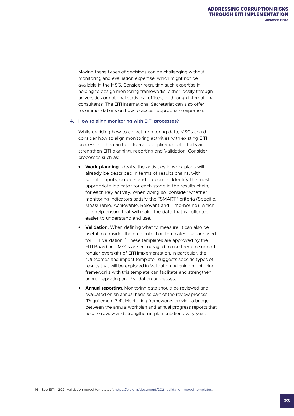Making these types of decisions can be challenging without monitoring and evaluation expertise, which might not be available in the MSG. Consider recruiting such expertise in helping to design monitoring frameworks, either locally through universities or national statistical offices, or through international consultants. The EITI International Secretariat can also offer recommendations on how to access appropriate expertise.

#### **4. How to align monitoring with EITI processes?**

While deciding how to collect monitoring data, MSGs could consider how to align monitoring activities with existing EITI processes. This can help to avoid duplication of efforts and strengthen EITI planning, reporting and Validation. Consider processes such as:

- **• Work planning.** Ideally, the activities in work plans will already be described in terms of results chains, with specific inputs, outputs and outcomes. Identify the most appropriate indicator for each stage in the results chain, for each key activity. When doing so, consider whether monitoring indicators satisfy the "SMART" criteria (Specific, Measurable, Achievable, Relevant and Time-bound), which can help ensure that will make the data that is collected easier to understand and use.
- **• Validation.** When defining what to measure, it can also be useful to consider the data collection templates that are used for EITI Validation.16 These templates are approved by the EITI Board and MSGs are encouraged to use them to support regular oversight of EITI implementation. In particular, the "Outcomes and impact template" suggests specific types of results that will be explored in Validation. Aligning monitoring frameworks with this template can facilitate and strengthen annual reporting and Validation processes.
- **• Annual reporting.** Monitoring data should be reviewed and evaluated on an annual basis as part of the review process (Requirement 7.4). Monitoring frameworks provide a bridge between the annual workplan and annual progress reports that help to review and strengthen implementation every year.

16 See EITI, "2021 Validation model templates", <https://eiti.org/document/2021-validation-model-templates>.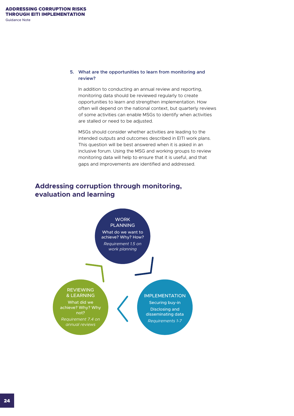#### **5. What are the opportunities to learn from monitoring and review?**

In addition to conducting an annual review and reporting, monitoring data should be reviewed regularly to create opportunities to learn and strengthen implementation. How often will depend on the national context, but quarterly reviews of some activities can enable MSGs to identify when activities are stalled or need to be adjusted.

MSGs should consider whether activities are leading to the intended outputs and outcomes described in EITI work plans. This question will be best answered when it is asked in an inclusive forum. Using the MSG and working groups to review monitoring data will help to ensure that it is useful, and that gaps and improvements are identified and addressed.

## **Addressing corruption through monitoring, evaluation and learning**

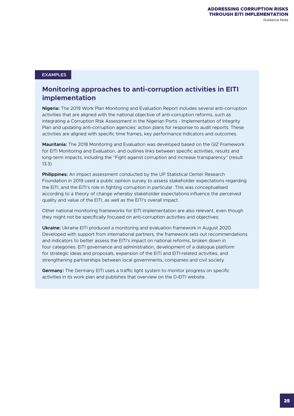#### **EXAMPLES**

## **Monitoring approaches to anti-corruption activities in EITI implementation**

**Nigeria:** The 2019 Work Plan Monitoring and Evaluation Report includes several anti-corruption activities that are aligned with the national objective of anti-corruption reforms, such as integrating a Corruption Risk Assessment in the Nigerian Ports - Implementation of Integrity Plan and updating anti-corruption agencies' action plans for response to audit reports. These activities are aligned with specific time frames, key performance indicators and outcomes.

**Mauritania:** The 2018 Monitoring and Evaluation was developed based on the GIZ Framework for EITI Monitoring and Evaluation, and outlines links between specific activities, results and long-term impacts, including the "Fight against corruption and increase transparency" (result 13.3).

**Philippines:** An impact assessment conducted by the UP Statistical Center Research Foundation in 2019 used a public opinion survey to assess stakeholder expectations regarding the EITI, and the EITI's role in fighting corruption in particular. This was conceptualised according to a theory of change whereby stakeholder expectations influence the perceived quality and value of the EITI, as well as the EITI's overall impact.

Other national monitoring frameworks for EITI implementation are also relevant, even though they might not be specifically focused on anti-corruption activities and objectives:

**Ukraine:** Ukraine EITI produced a monitoring and evaluation framework in August 2020. Developed with support from international partners, the framework sets out recommendations and indicators to better assess the EITI's impact on national reforms, broken down in four categories: EITI governance and administration, development of a dialogue platform for strategic ideas and proposals, expansion of the EITI and EITI-related activities, and strengthening partnerships between local governments, companies and civil society.

**Germany:** The Germany EITI uses a traffic light system to monitor progress on specific activities in its work plan and publishes that overview on the D-EITI website.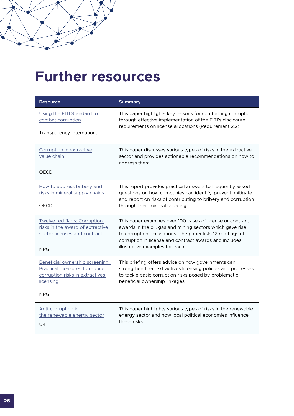## <span id="page-25-0"></span>**Further resources**

| <b>Resource</b>                                                                                                 | <b>Summary</b>                                                                                                                                                                                                 |
|-----------------------------------------------------------------------------------------------------------------|----------------------------------------------------------------------------------------------------------------------------------------------------------------------------------------------------------------|
| Using the EITI Standard to<br>combat corruption                                                                 | This paper highlights key lessons for combatting corruption<br>through effective implementation of the EITI's disclosure<br>requirements on license allocations (Requirement 2.2).                             |
| Transparency International                                                                                      |                                                                                                                                                                                                                |
| Corruption in extractive<br>value chain                                                                         | This paper discusses various types of risks in the extractive<br>sector and provides actionable recommendations on how to<br>address them.                                                                     |
| OECD                                                                                                            |                                                                                                                                                                                                                |
| How to address bribery and<br>risks in mineral supply chains                                                    | This report provides practical answers to frequently asked<br>questions on how companies can identify, prevent, mitigate                                                                                       |
| <b>OECD</b>                                                                                                     | and report on risks of contributing to bribery and corruption<br>through their mineral sourcing.                                                                                                               |
| Twelve red flags: Corruption<br>risks in the award of extractive<br>sector licenses and contracts               | This paper examines over 100 cases of license or contract<br>awards in the oil, gas and mining sectors which gave rise<br>to corruption accusations. The paper lists 12 red flags of                           |
| <b>NRGI</b>                                                                                                     | corruption in license and contract awards and includes<br>illustrative examples for each.                                                                                                                      |
| Beneficial ownership screening:<br>Practical measures to reduce<br>corruption risks in extractives<br>licensing | This briefing offers advice on how governments can<br>strengthen their extractives licensing policies and processes<br>to tackle basic corruption risks posed by problematic<br>beneficial ownership linkages. |
| <b>NRGI</b>                                                                                                     |                                                                                                                                                                                                                |
| Anti-corruption in<br>the renewable energy sector<br>U <sub>4</sub>                                             | This paper highlights various types of risks in the renewable<br>energy sector and how local political economies influence<br>these risks.                                                                     |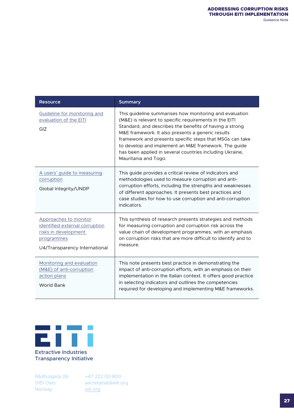| <b>Resource</b>                                                                                                                | <b>Summary</b>                                                                                                                                                                                                                                                                                                                                                                                                                            |
|--------------------------------------------------------------------------------------------------------------------------------|-------------------------------------------------------------------------------------------------------------------------------------------------------------------------------------------------------------------------------------------------------------------------------------------------------------------------------------------------------------------------------------------------------------------------------------------|
| Guideline for monitoring and<br>evaluation of the EITI<br>GIZ                                                                  | This guideline summarises how monitoring and evaluation<br>(M&E) is relevant to specific requirements in the EITI<br>Standard, and describes the benefits of having a strong<br>M&E framework. It also presents a generic results<br>framework and presents specific steps that MSGs can take<br>to develop and implement an M&E framework. The guide<br>has been applied in several countries including Ukraine,<br>Mauritania and Togo. |
| A users' guide to measuring<br>corruption<br>Global Integrity/UNDP                                                             | This guide provides a critical review of indicators and<br>methodologies used to measure corruption and anti-<br>corruption efforts, including the strengths and weaknesses<br>of different approaches. It presents best practices and<br>case studies for how to use corruption and anti-corruption<br>indicators.                                                                                                                       |
| Approaches to monitor<br>identified external corruption<br>risks in development<br>programmes<br>U4/Transparency International | This synthesis of research presents strategies and methods<br>for measuring corruption and corruption risk across the<br>value chain of development programmes, with an emphasis<br>on corruption risks that are more difficult to identify and to<br>measure.                                                                                                                                                                            |
| Monitoring and evaluation<br>(M&E) of anti-corruption<br>action plans<br><b>World Bank</b>                                     | This note presents best practice in demonstrating the<br>impact of anti-corruption efforts, with an emphasis on their<br>implementation in the Italian context. It offers good practice<br>in selecting indicators and outlines the competencies<br>required for developing and implementing M&E frameworks.                                                                                                                              |



Transparency Initiative

Rådhusgata 26 0151 Oslo Norway +47 222 00 800 [secretariat@eiti.org](mailto:secretariat@eiti.org) [eiti.org](http://eiti.org)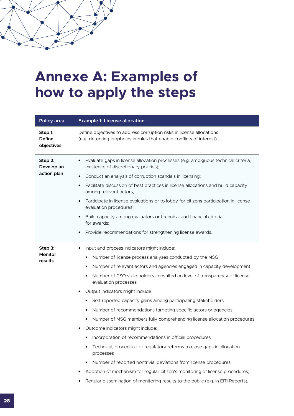# <span id="page-27-0"></span>**Annexe A: Examples of how to apply the steps**

| Policy area                            | <b>Example 1: License allocation</b>                                                                                                                                                                                                                                                                                                                                                                                                                                                                                                                                                                                                                                                                                                                                                                                                                                                                                                                                                                    |
|----------------------------------------|---------------------------------------------------------------------------------------------------------------------------------------------------------------------------------------------------------------------------------------------------------------------------------------------------------------------------------------------------------------------------------------------------------------------------------------------------------------------------------------------------------------------------------------------------------------------------------------------------------------------------------------------------------------------------------------------------------------------------------------------------------------------------------------------------------------------------------------------------------------------------------------------------------------------------------------------------------------------------------------------------------|
| Step 1:<br><b>Define</b><br>objectives | Define objectives to address corruption risks in license allocations<br>(e.g. detecting loopholes in rules that enable conflicts of interest).                                                                                                                                                                                                                                                                                                                                                                                                                                                                                                                                                                                                                                                                                                                                                                                                                                                          |
| Step 2:<br>Develop an<br>action plan   | Evaluate gaps in license allocation processes (e.g. ambiguous technical criteria,<br>$\bullet$<br>existence of discretionary policies);<br>Conduct an analysis of corruption scandals in licensing;<br>$\bullet$<br>Facilitate discussion of best practices in license allocations and build capacity<br>$\bullet$<br>among relevant actors;<br>Participate in license evaluations or to lobby for citizens participation in license<br>$\bullet$<br>evaluation procedures;<br>Build capacity among evaluators or technical and financial criteria<br>for awards:<br>Provide recommendations for strengthening license awards.                                                                                                                                                                                                                                                                                                                                                                          |
| Step 3:<br><b>Monitor</b><br>results   | Input and process indicators might include:<br>٠<br>Number of license process analyses conducted by the MSG<br>٠<br>Number of relevant actors and agencies engaged in capacity development<br>٠<br>Number of CSO stakeholders consulted on level of transparency of license<br>evaluation processes<br>Output indicators might include:<br>Self-reported capacity gains among participating stakeholders<br>٠<br>Number of recommendations targeting specific actors or agencies<br>Number of MSG members fully comprehending license allocation procedures<br>٠<br>Outcome indicators might include:<br>Incorporation of recommendations in official procedures<br>Technical, procedural or regulatory reforms to close gaps in allocation<br>processes<br>Number of reported nontrivial deviations from license procedures<br>٠<br>Adoption of mechanism for regular citizen's monitoring of license procedures;<br>Regular dissemination of monitoring results to the public (e.g. in EITI Reports). |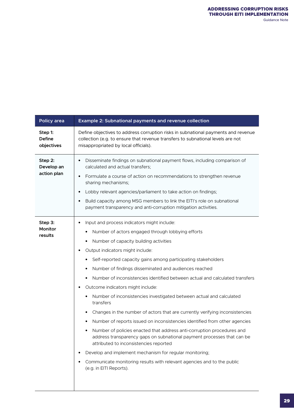| Define objectives to address corruption risks in subnational payments and revenue<br>collection (e.g. to ensure that revenue transfers to subnational levels are not<br>misappropriated by local officials).                                                                                                                                                                                                                                                                                                                                                                                                                                                                                                                                                                                                                                                                                                                                                                                                                                                                                                 |
|--------------------------------------------------------------------------------------------------------------------------------------------------------------------------------------------------------------------------------------------------------------------------------------------------------------------------------------------------------------------------------------------------------------------------------------------------------------------------------------------------------------------------------------------------------------------------------------------------------------------------------------------------------------------------------------------------------------------------------------------------------------------------------------------------------------------------------------------------------------------------------------------------------------------------------------------------------------------------------------------------------------------------------------------------------------------------------------------------------------|
| Disseminate findings on subnational payment flows, including comparison of<br>$\bullet$<br>calculated and actual transfers;<br>Formulate a course of action on recommendations to strengthen revenue<br>$\bullet$<br>sharing mechanisms;<br>Lobby relevant agencies/parliament to take action on findings;<br>$\bullet$<br>Build capacity among MSG members to link the EITI's role on subnational<br>$\bullet$<br>payment transparency and anti-corruption mitigation activities.                                                                                                                                                                                                                                                                                                                                                                                                                                                                                                                                                                                                                           |
| Input and process indicators might include:<br>$\bullet$<br>Number of actors engaged through lobbying efforts<br>Number of capacity building activities<br>٠<br>Output indicators might include:<br>٠<br>Self-reported capacity gains among participating stakeholders<br>٠<br>Number of findings disseminated and audiences reached<br>Number of inconsistencies identified between actual and calculated transfers<br>Outcome indicators might include:<br>$\bullet$<br>Number of inconsistencies investigated between actual and calculated<br>transfers<br>Changes in the number of actors that are currently verifying inconsistencies<br>٠<br>Number of reports issued on inconsistencies identified from other agencies<br>٠<br>Number of policies enacted that address anti-corruption procedures and<br>address transparency gaps on subnational payment processes that can be<br>attributed to inconsistencies reported<br>Develop and implement mechanism for regular monitoring;<br>٠<br>Communicate monitoring results with relevant agencies and to the public<br>٠<br>(e.g. in EITI Reports). |
|                                                                                                                                                                                                                                                                                                                                                                                                                                                                                                                                                                                                                                                                                                                                                                                                                                                                                                                                                                                                                                                                                                              |